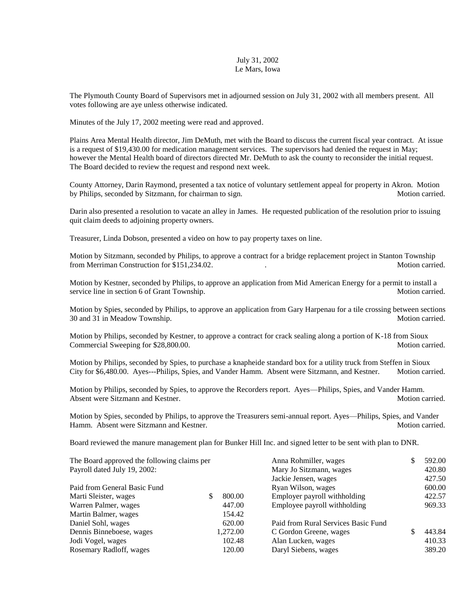## July 31, 2002 Le Mars, Iowa

The Plymouth County Board of Supervisors met in adjourned session on July 31, 2002 with all members present. All votes following are aye unless otherwise indicated.

Minutes of the July 17, 2002 meeting were read and approved.

Plains Area Mental Health director, Jim DeMuth, met with the Board to discuss the current fiscal year contract. At issue is a request of \$19,430.00 for medication management services. The supervisors had denied the request in May; however the Mental Health board of directors directed Mr. DeMuth to ask the county to reconsider the initial request. The Board decided to review the request and respond next week.

County Attorney, Darin Raymond, presented a tax notice of voluntary settlement appeal for property in Akron. Motion by Philips, seconded by Sitzmann, for chairman to sign. Motion carried. Motion carried.

Darin also presented a resolution to vacate an alley in James. He requested publication of the resolution prior to issuing quit claim deeds to adjoining property owners.

Treasurer, Linda Dobson, presented a video on how to pay property taxes on line.

Motion by Sitzmann, seconded by Philips, to approve a contract for a bridge replacement project in Stanton Township from Merriman Construction for \$151,234.02.

Motion by Kestner, seconded by Philips, to approve an application from Mid American Energy for a permit to install a service line in section 6 of Grant Township. Motion carried. Motion carried.

Motion by Spies, seconded by Philips, to approve an application from Gary Harpenau for a tile crossing between sections 30 and 31 in Meadow Township. The same state of the state of the state of the Motion carried.

Motion by Philips, seconded by Kestner, to approve a contract for crack sealing along a portion of K-18 from Sioux Commercial Sweeping for \$28,800.00. Motion carried. Motion carried.

Motion by Philips, seconded by Spies, to purchase a knapheide standard box for a utility truck from Steffen in Sioux City for \$6,480.00. Ayes---Philips, Spies, and Vander Hamm. Absent were Sitzmann, and Kestner. Motion carried.

Motion by Philips, seconded by Spies, to approve the Recorders report. Ayes—Philips, Spies, and Vander Hamm. Absent were Sitzmann and Kestner. Motion carried. Motion carried.

Motion by Spies, seconded by Philips, to approve the Treasurers semi-annual report. Ayes—Philips, Spies, and Vander Hamm. Absent were Sitzmann and Kestner. Motion carried. Motion carried.

Board reviewed the manure management plan for Bunker Hill Inc. and signed letter to be sent with plan to DNR.

| The Board approved the following claims per |             | Anna Rohmiller, wages               |  | 592.00 |
|---------------------------------------------|-------------|-------------------------------------|--|--------|
| Payroll dated July 19, 2002:                |             | Mary Jo Sitzmann, wages             |  | 420.80 |
|                                             |             | Jackie Jensen, wages                |  | 427.50 |
| Paid from General Basic Fund                |             | Ryan Wilson, wages                  |  | 600.00 |
| Marti Sleister, wages                       | 800.00<br>S | Employer payroll withholding        |  | 422.57 |
| Warren Palmer, wages                        | 447.00      | Employee payroll withholding        |  | 969.33 |
| 154.42<br>Martin Balmer, wages              |             |                                     |  |        |
| Daniel Sohl, wages<br>620.00                |             | Paid from Rural Services Basic Fund |  |        |
| Dennis Binneboese, wages                    | 1,272.00    | C Gordon Greene, wages              |  | 443.84 |
| Jodi Vogel, wages                           | 102.48      | Alan Lucken, wages                  |  | 410.33 |
| Rosemary Radloff, wages                     | 120.00      | Daryl Siebens, wages                |  | 389.20 |
|                                             |             |                                     |  |        |